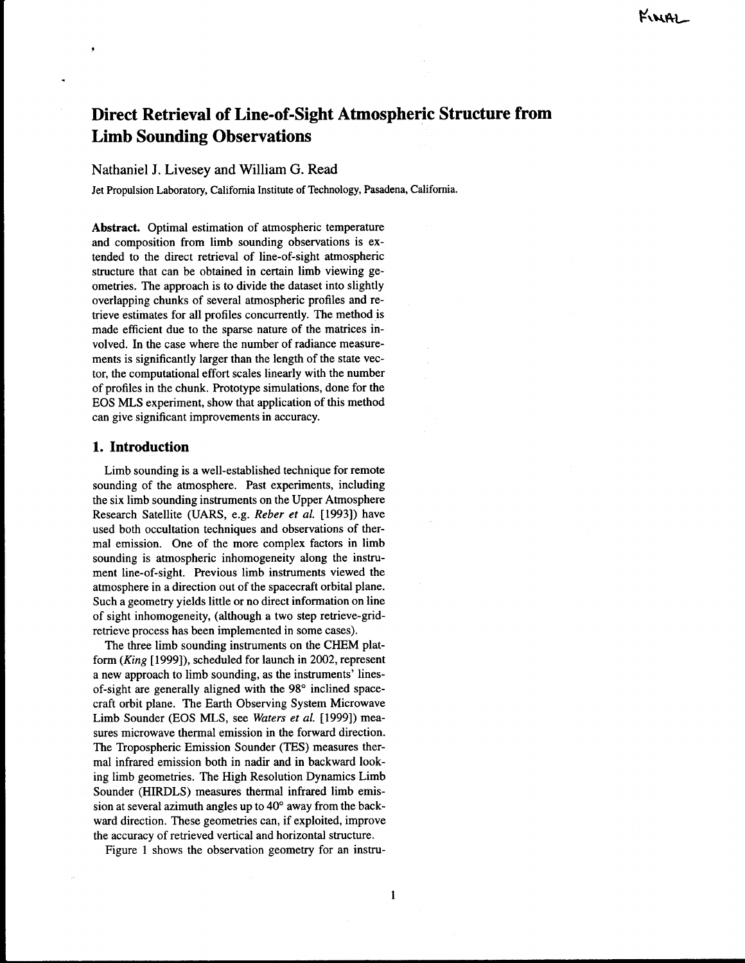# **Direct Retrieval of Line-of-Sight Atmospheric Structure from Limb Sounding Observations**

# Nathaniel **J.** Livesey and William *G.* Read

Jet Propulsion Laboratory, California Institute of Technology, Pasadena, California.

**Abstract.** Optimal estimation of atmospheric temperature and composition from limb sounding observations is extended to the direct retrieval of line-of-sight atmospheric structure that can be obtained in certain limb viewing geometries. The approach is to divide the dataset into slightly overlapping chunks of several atmospheric profiles and retrieve estimates for all profiles concurrently. The method is made efficient due to the sparse nature of the matrices involved. In the case where the number of radiance measurements is significantly larger than the length of the state vector, the computational effort scales linearly with the number of profiles in the chunk. Prototype simulations, done for the EOS MLS experiment, show that application of this method can give significant improvements in accuracy.

# **1. Introduction**

\*

Limb sounding is a well-established technique for remote sounding of the atmosphere. Past experiments, including the six limb sounding instruments on the Upper Atmosphere Research Satellite (UARS, e.g. *Reber et ai.* [1993]) have used both occultation techniques and observations of thermal emission. One of the more complex factors in limb sounding is atmospheric inhomogeneity along the instrument line-of-sight. Previous limb instruments viewed the atmosphere in a direction out of the spacecraft orbital plane. Such a geometry yields little or no direct information on line of sight inhomogeneity, (although a two step retrieve-gridretrieve process has been implemented in some cases).

The three limb sounding instruments on the CHEM platform *(King* [ 1999]), scheduled for launch in **2002,** represent a new approach to limb sounding, as the instruments' linesof-sight are generally aligned with the 98° inclined spacecraft orbit plane. The Earth Observing System Microwave Limb Sounder (EOS MLS, see *Waters et ai.* [1999]) measures microwave thermal emission in the forward direction. The Tropospheric Emission Sounder (TES) measures thermal infrared emission both in nadir and in backward looking limb geometries. The High Resolution Dynamics Limb Sounder (HIRDLS) measures thermal infrared limb emission at several azimuth angles up to **40"** away from the backward direction. These geometries can, if exploited, improve the accuracy of retrieved vertical and horizontal structure.

[Figure 1](#page-10-0) shows the observation geometry for an instru-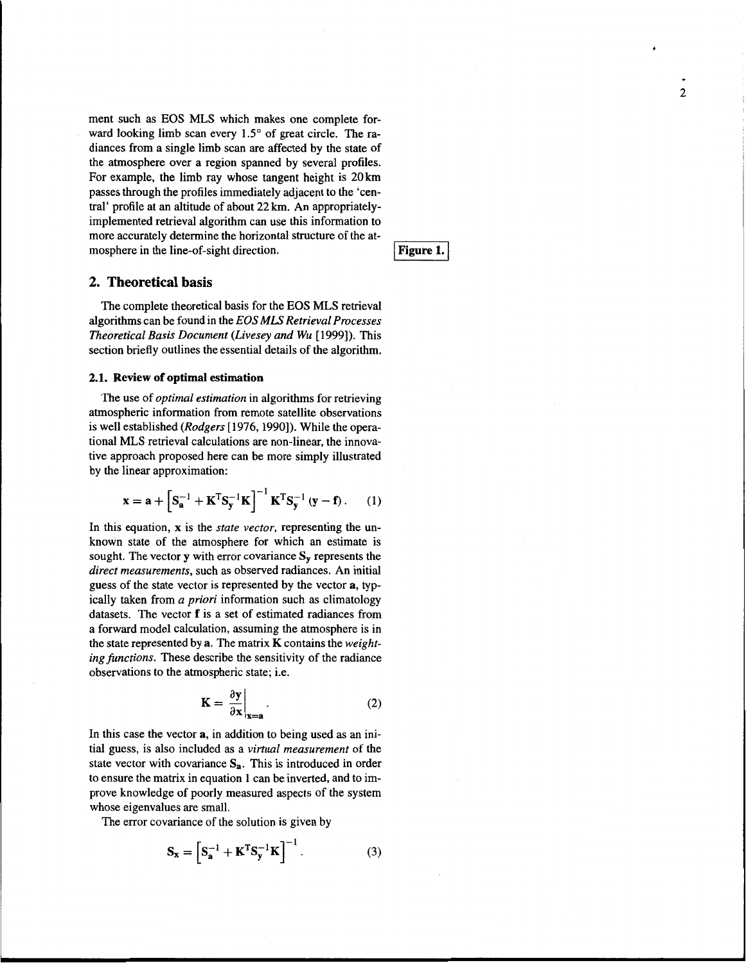ment such as **EOS MLS** which makes one complete forward looking limb scan every  $1.5^{\circ}$  of great circle. The radiances from a single limb scan are affected by the state of the atmosphere over a region spanned by several profiles. For example, the limb ray whose tangent height is 20 km passes through the profiles immediately adjacent to the 'central' profile at an altitude of about **22 km.** An appropriatelyimplemented retrieval algorithm can use this information to more accurately determine the horizontal structure of the atmosphere in the line-of-sight direction.  $\boxed{\text{Figure 1.}}$ 

# **2. Theoretical basis**

The complete theoretical basis for the **EOS MLS** retrieval algorithms can be found in the *EOSMLS Retrieval Processes Theoretical Basis Document (Livesey and Wu* [ 19991). This section briefly outlines the essential details of the algorithm.

#### **2.1. Review of optimal estimation**

The use of *optimal estimation* in algorithms for retrieving atmospheric information from remote satellite observations is well established *(Rodgers* [1976, 1990]). While the operational MLS retrieval calculations are non-linear, the innovative approach proposed here can be more simply illustrated by the linear approximation:

$$
\mathbf{x} = \mathbf{a} + \left[\mathbf{S}_{\mathbf{a}}^{-1} + \mathbf{K}^{\mathrm{T}} \mathbf{S}_{\mathbf{y}}^{-1} \mathbf{K}\right]^{-1} \mathbf{K}^{\mathrm{T}} \mathbf{S}_{\mathbf{y}}^{-1} \left(\mathbf{y} - \mathbf{f}\right). \tag{1}
$$

In this equation, **x** is the *state vector,* representing the unknown state of the atmosphere for which an estimate is sought. The vector **y** with error covariance  $S_v$  represents the *direct measurements,* such as observed radiances. An initial guess of the state vector is represented by the vector **a,** typically taken from *a priori* information such as climatology datasets. The vector **f** is a set of estimated radiances from a forward model calculation, assuming the atmosphere is in the state represented by **a.** The matrix **K** contains the *weighting functions.* These describe the sensitivity of the radiance observations to the atmospheric state; i.e.

$$
\mathbf{K} = \left. \frac{\partial \mathbf{y}}{\partial \mathbf{x}} \right|_{\mathbf{x} = \mathbf{a}} . \tag{2}
$$

In this case the vector **a,** in addition to being used as an initial guess, is also included as a *virtual measurement* of the state vector with covariance **Sa.** This is introduced in order to ensure the matrix in equation 1 can be inverted, and to improve knowledge of poorly measured aspects of the system whose eigenvalues are small.

The error covariance of the solution is given by

$$
\mathbf{S}_{\mathbf{x}} = \left[\mathbf{S}_{\mathbf{a}}^{-1} + \mathbf{K}^{\mathrm{T}} \mathbf{S}_{\mathbf{y}}^{-1} \mathbf{K}\right]^{-1}.
$$
 (3)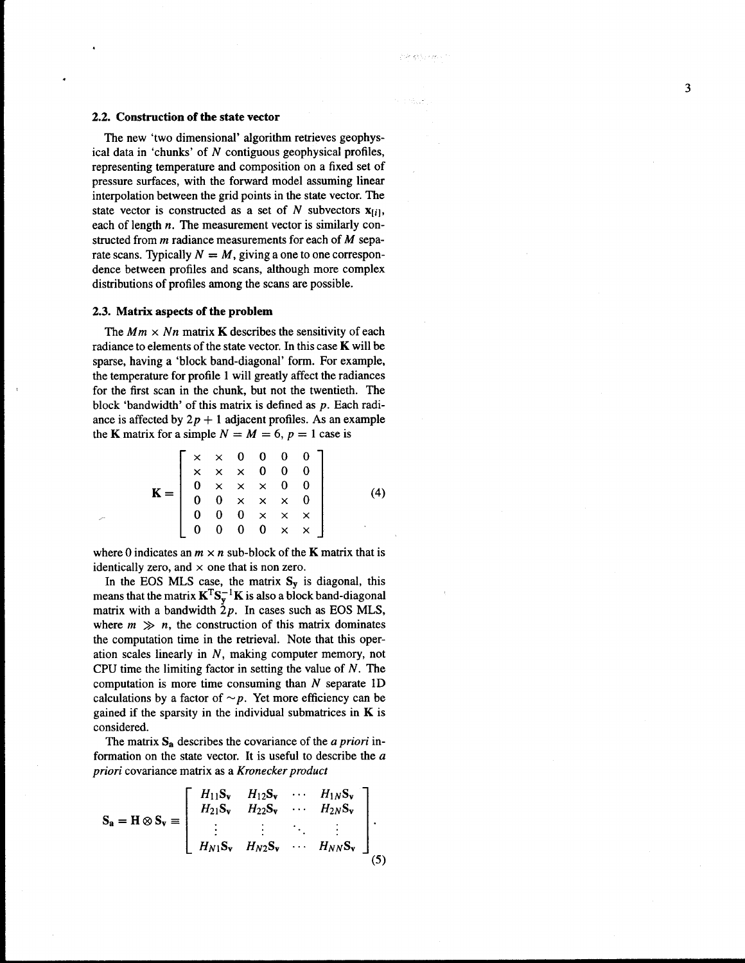#### **2.2. Construction of the state vector**

The new 'two dimensional' algorithm retrieves geophysical data in 'chunks' of *N* contiguous geophysical profiles, representing temperature and composition on a fixed set of pressure surfaces, with the forward model assuming linear interpolation between the grid points in the state vector. The state vector is constructed as a set of  $N$  subvectors  $\mathbf{x}_{[i]}$ , each of length *n*. The measurement vector is similarly constructed from *m* radiance measurements for each of *M* separate scans. Typically  $N = M$ , giving a one to one correspondence between profiles and scans, although more complex distributions of profiles among the scans are possible.

..

#### **2.3. Matrix aspects of the problem**

The  $Mm \times Nn$  matrix **K** describes the sensitivity of each radiance to elements of the state vector. In this case **K** will be sparse, having a 'block band-diagonal' form. For example, the temperature for profile **1** will greatly affect the radiances for the first scan in the chunk, but not the twentieth. The block 'bandwidth' of this matrix is defined as *p.* Each radiance is affected by  $2p + 1$  adjacent profiles. As an example the **K** matrix for a simple  $N = M = 6$ ,  $p = 1$  case is

| $\mathbf{K} = \left[ \begin{array}{cccccc} \times & \times & 0 & 0 & 0 & 0 \\ \times & \times & \times & 0 & 0 & 0 \\ 0 & \times & \times & \times & 0 & 0 \\ 0 & 0 & \times & \times & \times & 0 \\ 0 & 0 & 0 & \times & \times & \times \\ 0 & 0 & 0 & 0 & \times & \times \end{array} \right]$ |  |  |  |  |  |
|----------------------------------------------------------------------------------------------------------------------------------------------------------------------------------------------------------------------------------------------------------------------------------------------------|--|--|--|--|--|
|                                                                                                                                                                                                                                                                                                    |  |  |  |  |  |
|                                                                                                                                                                                                                                                                                                    |  |  |  |  |  |
|                                                                                                                                                                                                                                                                                                    |  |  |  |  |  |
|                                                                                                                                                                                                                                                                                                    |  |  |  |  |  |
|                                                                                                                                                                                                                                                                                                    |  |  |  |  |  |

where 0 indicates an  $m \times n$  sub-block of the **K** matrix that is identically zero, and  $\times$  one that is non zero.

In the EOS MLS case, the matrix  $S_v$  is diagonal, this means that the matrix  $K<sup>T</sup>S<sub>v</sub><sup>-1</sup>K$  is also a block band-diagonal matrix with a bandwidth *2p.* In cases such as **EOS MLS,**  where  $m \gg n$ , the construction of this matrix dominates the computation time in the retrieval. Note that this operation scales linearly in *N,* making computer memory, not **CPU** time the limiting factor in setting the value of *N.* The computation is more time consuming than *N* separate **1D**  calculations by a factor of  $\sim p$ . Yet more efficiency can be gained if the sparsity in the individual submatrices in **K** is considered.

The matrix **Sa** describes the covariance of the *a priori* information on the state vector. It is useful to describe the *a priori* covariance matrix as a *Kronecker product* 

$$
\mathbf{S}_{\mathbf{a}} = \mathbf{H} \otimes \mathbf{S}_{\mathbf{v}} \equiv \left[ \begin{array}{cccc} H_{11} \mathbf{S}_{\mathbf{v}} & H_{12} \mathbf{S}_{\mathbf{v}} & \cdots & H_{1N} \mathbf{S}_{\mathbf{v}} \\ H_{21} \mathbf{S}_{\mathbf{v}} & H_{22} \mathbf{S}_{\mathbf{v}} & \cdots & H_{2N} \mathbf{S}_{\mathbf{v}} \\ \vdots & \vdots & \ddots & \vdots \\ H_{N1} \mathbf{S}_{\mathbf{v}} & H_{N2} \mathbf{S}_{\mathbf{v}} & \cdots & H_{NN} \mathbf{S}_{\mathbf{v}} \end{array} \right].
$$
\n
$$
(5)
$$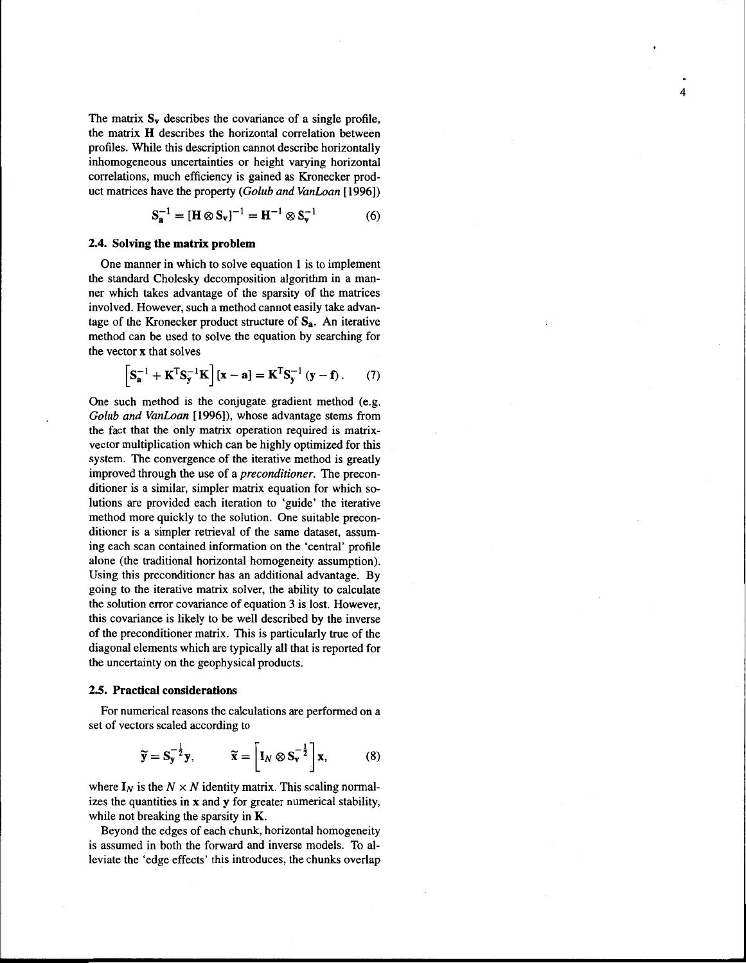The matrix  $S_v$  describes the covariance of a single profile, the matrix **H** describes the horizontal correlation between profiles. While this description cannot describe horizontally inhomogeneous uncertainties or height varying horizontal correlations, much efficiency is gained as Kronecker product matrices have the property *(Golub and VanLoan* [1996])

$$
S_{a}^{-1} = [H \otimes S_{v}]^{-1} = H^{-1} \otimes S_{v}^{-1}
$$
 (6)

# **2.4. Solving the matrix problem**

One manner in which to solve equation **1** is to implement the standard Cholesky decomposition algorithm in a manner which takes advantage of the sparsity of the matrices involved. However, such a method cannot easily take advantage of the Kronecker product structure of **Sa.** An iterative method can be used to solve the equation by searching for the vector **x** that solves

$$
\left[S_{\mathbf{a}}^{-1} + \mathbf{K}^{\mathrm{T}} S_{\mathbf{y}}^{-1} \mathbf{K}\right] [\mathbf{x} - \mathbf{a}] = \mathbf{K}^{\mathrm{T}} S_{\mathbf{y}}^{-1} (\mathbf{y} - \mathbf{f}). \tag{7}
$$

One such method is the conjugate gradient method (e.g. *Golub and VanLoan* [1996]), whose advantage stems from the fact that the only matrix operation required is matrixvector multiplication which can be highly optimized for this system. The convergence of the iterative method is greatly improved through the use of a *preconditioner.* The preconditioner is a similar, simpler matrix equation for which solutions are provided each iteration to 'guide' the iterative method more quickly to the solution. One suitable preconditioner is a simpler retrieval of the same dataset, assuming each scan contained information on the 'central' profile alone (the traditional horizontal homogeneity assumption). Using this preconditioner has an additional advantage. By going to the iterative matrix solver, the ability to calculate the solution error covariance of equation **3** is lost. However, this covariance is likely to be well described by the inverse of the preconditioner matrix. This is particularly true **of** the diagonal elements which are typically all that is reported for the uncertainty on the geophysical products.

#### **2.5. Practical considerations**

For numerical reasons the calculations are performed on a set of vectors scaled according to

$$
\widetilde{\mathbf{y}} = \mathbf{S}_{\mathbf{y}}^{-\frac{1}{2}} \mathbf{y}, \qquad \widetilde{\mathbf{x}} = \left[ \mathbf{I}_N \otimes \mathbf{S}_{\mathbf{v}}^{-\frac{1}{2}} \right] \mathbf{x}, \tag{8}
$$

where  $I_N$  is the  $N \times N$  identity matrix. This scaling normalizes the quantities in **x** and **y** for greater numerical stability, while not breaking the sparsity in **K.** 

Beyond the edges of each chunk, horizontal homogeneity is assumed in both the forward and inverse models. To alleviate the 'edge effects' this introduces, the chunks overlap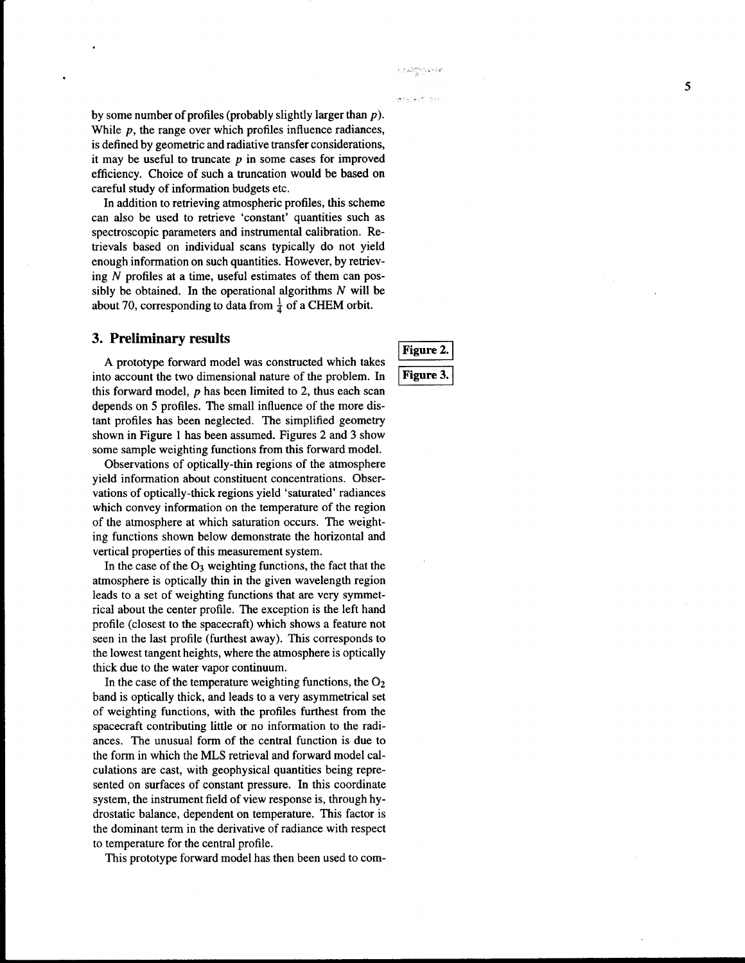by some number of profiles (probably slightly larger than *p).*  While *p*, the range over which profiles influence radiances, is defined by geometric and radiative transfer considerations, it may be useful to truncate *p* in some cases for improved efficiency. Choice of such a truncation would be based on careful study of information budgets etc.

In addition to retrieving atmospheric profiles, this scheme can also be used to retrieve 'constant' quantities such as spectroscopic parameters and instrumental calibration. Retrievals based on individual scans typically do not yield enough information on such quantities. However, by retrieving *N* profiles at a time, useful estimates of them can possibly be obtained. In the operational algorithms *N* will be about 70, corresponding to data from  $\frac{1}{4}$  of a CHEM orbit.

### **3. Preliminary results**

**A** prototype forward model was constructed which takes into account the two dimensional nature of the problem. In this forward model, *p* has been limited to 2, thus each scan depends on **5** profiles. The small influence of the more distant profiles has been neglected. The simplified geometry shown in [Figure](#page-10-0) **1** has been assumed. [Figures 2](#page-10-0) and **3** show some sample weighting functions from this forward model.

Observations of optically-thin regions of the atmosphere yield information about constituent concentrations. Observations of optically-thick regions yield 'saturated' radiances which convey information on the temperature of the region of the atmosphere at which saturation occurs. The weighting functions shown below demonstrate the horizontal and vertical properties of this measurement system.

In the case of the **03** weighting functions, the fact that the atmosphere is optically thin in the given wavelength region leads to a set of weighting functions that are very symmetrical about the center profile. The exception is the left hand profile (closest to the spacecraft) which shows a feature not seen in the last profile (furthest away). This corresponds to the lowest tangent heights, where the atmosphere is optically thick due to the water vapor continuum.

In the case of the temperature weighting functions, the  $O_2$ band is optically thick, and leads to a very asymmetrical set of weighting functions, with the profiles furthest from the spacecraft contributing little or no information to the radiances. The unusual form **of** the central function is due to the form in which the MLS retrieval and forward model calculations are cast, with geophysical quantities being represented on surfaces of constant pressure. In this coordinate system, the instrument field of view response is, through hydrostatic balance, dependent on temperature. This factor is the dominant term in the derivative of radiance with respect to temperature for the central profile.

This prototype forward model has then been used to com-

| Figure 2. |  |
|-----------|--|
|           |  |
| Figure 3. |  |

-1

.'' . . . , I

.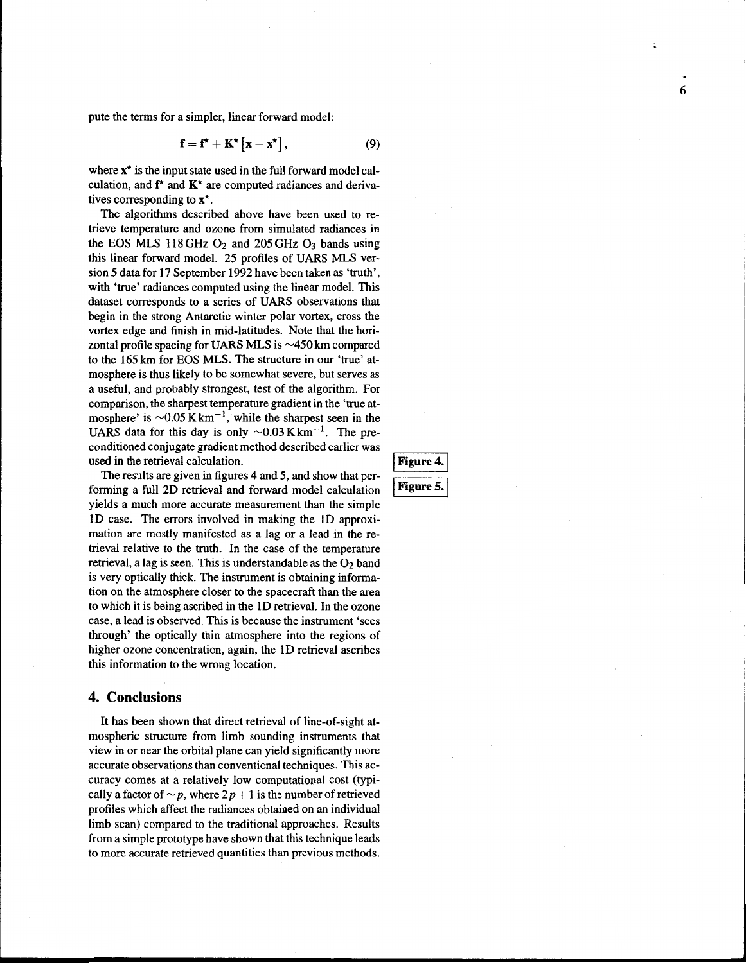pute the terms for a simpler, linear forward model:

$$
\mathbf{f} = \mathbf{f}^{\star} + \mathbf{K}^{\star} \left[ \mathbf{x} - \mathbf{x}^{\star} \right], \tag{9}
$$

where  $x^*$  is the input state used in the full forward model calculation, and  $f^*$  and  $K^*$  are computed radiances and derivatives corresponding to **x\*.** 

The algorithms described above have been used to retrieve temperature and ozone from simulated radiances in the **EOS** MLS 118 GHz  $O_2$  and 205 GHz  $O_3$  bands using this linear forward model. **25** profiles of UARS **MLS** version **5** data for **17** September **1992** have been taken as 'truth', with 'true' radiances computed using the linear model. This dataset corresponds to a series of UARS observations that begin in the strong Antarctic winter polar vortex, cross the vortex edge and finish in mid-latitudes. Note that the horizontal profile spacing for UARS **MLS** is **-450 km** compared to the **165** km for **EOS MLS.** The structure in our 'true' atmosphere is thus likely to be somewhat severe, but serves as a useful, and probably strongest, test of the algorithm. For comparison, the sharpest temperature gradient in the 'true atmosphere' is  $\sim 0.05 \text{ K km}^{-1}$ , while the sharpest seen in the UARS data for this day is only  $\sim 0.03$  K km<sup>-1</sup>. The preconditioned conjugate gradient method described earlier was used in the retrieval calculation.  $\boxed{\text{Figure 4.}}$ 

The results are given i[n figures](#page-11-0) **4** and **5,** and show that performing a full 2D retrieval and forward model calculation **Figure 5.** yields a much more accurate measurement than the simple **1D** case. The errors involved in making the **1D** approximation are mostly manifested as a lag or a lead in the retrieval relative to the truth. In the case of the temperature retrieval, a lag is seen. This is understandable as the  $O<sub>2</sub>$  band is very optically thick. The instrument is obtaining information on the atmosphere closer to the spacecraft than the area to which it is being ascribed in the **1D** retrieval. In the ozone case, a lead is observed. This is because the instrument 'sees through' the optically thin atmosphere into the regions of higher ozone concentration, again, the **1D** retrieval ascribes this information **to** the wrong location.

# **4. Conclusions**

It has been shown that direct retrieval of line-of-sight atmospheric structure from limb sounding instruments that view in or near the orbital plane can yield significantly more accurate observations than conventional techniques. This accuracy comes at a relatively low computational cost (typically a factor of  $\sim p$ , where  $2p+1$  is the number of retrieved profiles which affect the radiances obtained on an individual limb scan) compared to the traditional approaches. Results from a simple prototype have shown that this technique leads to more accurate retrieved quantities than previous methods.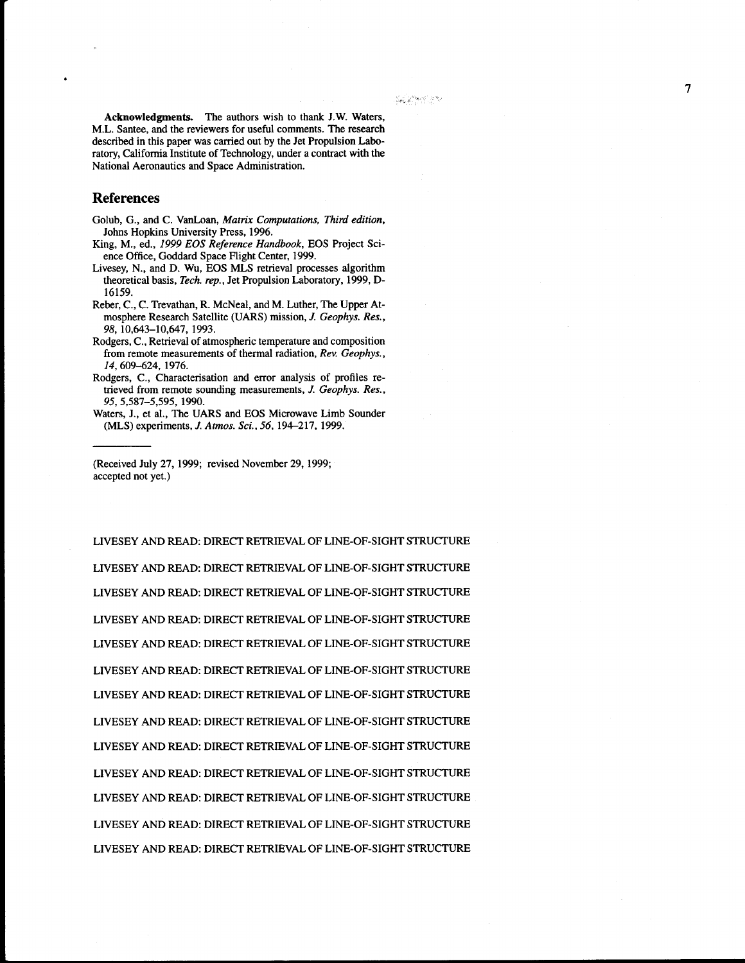医腹窦神经 医散

**Acknowledgments.** The authors wish to thank J.W. Waters, M.L. Santee, and the reviewers for useful comments. The research described in this paper was camed out by the Jet Propulsion Laboratory, California Institute of Technology, under a contract with the National Aeronautics and Space Administration.

#### **References**

Golub, G., and C. VanLoan, *Matrix Computations, Third edition,*  Johns Hopkins University Press, 1996.

- King, M., ed., *I999 EOS Reference Handbook,* EOS Project Science Office, Goddard Space Flight Center, 1999.
- Livesey, N., and D. Wu, EOS MLS retrieval processes algorithm theoretical basis, *Tech. rep.,* Jet Propulsion Laboratory, 1999, D-16159.
- Reber, C., C. Trevathan, R. McNeal, and M. Luther, The Upper Atmosphere Research Satellite (UARS) mission, *J. Geophys. Res., 98,* 10,643-10,647, 1993.
- Rodgers, C., Retrieval of atmospheric temperature and composition from remote measurements of thermal radiation, *Rev. Geophys.,*  14,609-624, 1976.
- Rodgers, C., Characterisation and error analysis of profiles retrieved from remote sounding measurements, *J. Geophys. Res.,*  95,5,587-5,595, 1990.
- Waters, J., et al., The UARS and EOS Microwave Limb Sounder (MLS) experiments, *J. Amos. Sci., 56,* 194-217, 1999.

(Received July 27, 1999; revised November 29, 1999; accepted not yet.)

LIVESEY AND READ: DIRECT RETRIEVAL OF LINE-OF-SIGHT STRUCTURE LIVESEY AND READ: DIRECT RETRIEVAL OF LINE-OF-SIGHT STRUCTURE LIVESEY AND READ: DIRECT RETRIEVAL OF LINE-OF-SIGHT STRUCTURE LIVESEY AND READ: DIRECT RETRIEVAL OF LINE-OF-SIGHT STRUCTURE LIVESEY AND READ: DIRECT RETRIEVAL OF LINE-OF-SIGHT STRUCTURE LIVESEY AND READ: DIRECT RETRIEVAL OF LINE-OF-SIGHT STRUCTURE LIVESEY AND READ: DIRECT RETRIEVAL OF LINE-OF-SIGHT STRUCTURE LIVESEY AND READ: DIRECT RETRIEVAL OF LINE-OF-SIGHT STRUCTURE LIVESEY AND READ: DIRECT RETRIEVAL OF LINE-OF-SIGHT STRUCTURE LIVESEY AND READ: DIRECT RETRIEVAL OF LINE-OF-SIGHT STRUCTURE LIVESEY AND READ: DIRECT RETRIEVAL OF LINE-OF-SIGHT STRUCTURE LIVESEY AND READ: DIRECT RETRIEVAL OF LINE-OF-SIGHT STRUCTURE LIVESEY AND READ: DIRECT RETRIEVAL OF LINE-OF-SIGHT STRUCTURE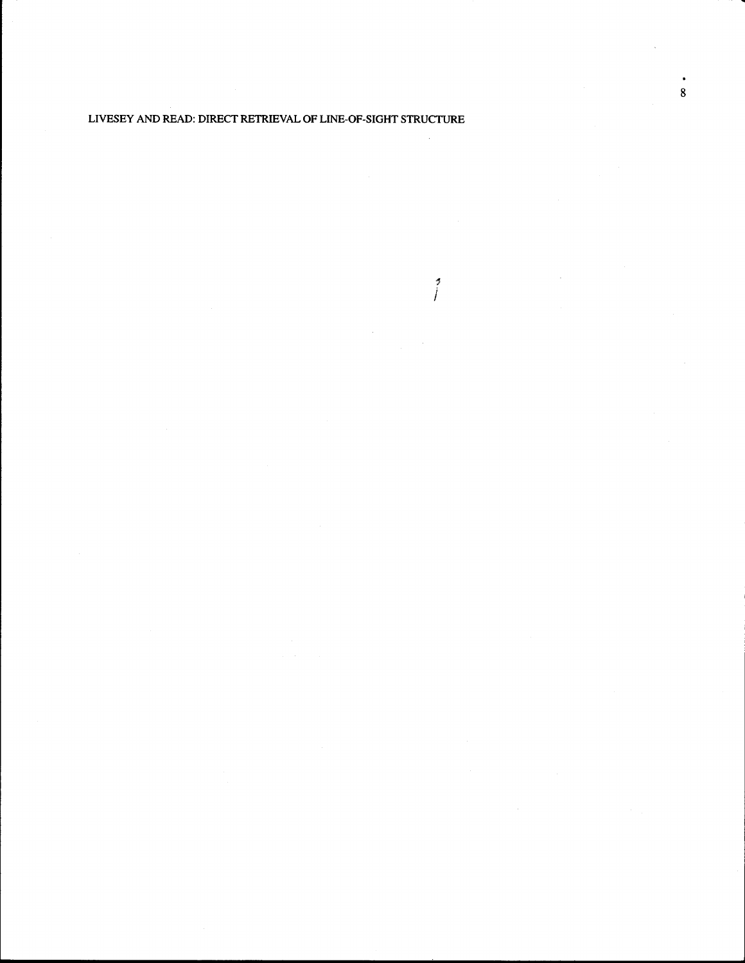# **LIVESEY AND READ: DIRECT RETRIEVAL OF LINE-OF-SIGHT STRUCTURE**

 $\bar{\gamma}$ 

 $\int$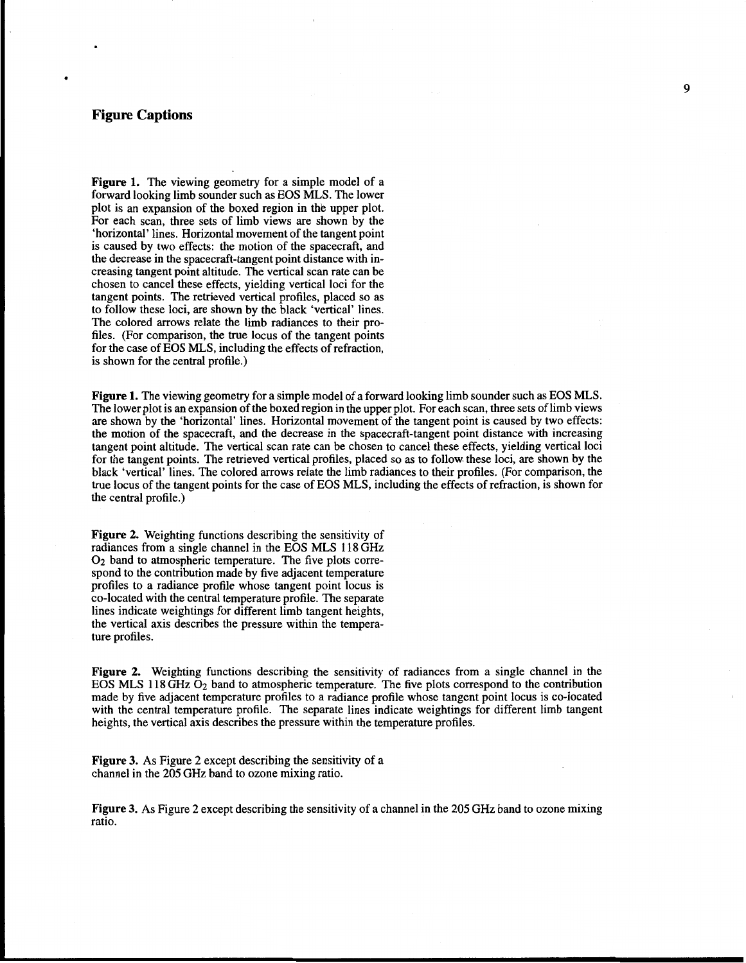# **Figure Captions**

**[Figure 1.](#page-10-0)** The viewing geometry for a simple model of a forward looking limb sounder such as **EOS** MLS. The lower plot is an expansion of the boxed region in the upper plot. For each scan, three sets of limb views are shown by the 'horizontal' lines. Horizontal movement of the tangent point is caused by two effects: the motion of the spacecraft, and the decrease in the spacecraft-tangent point distance with increasing tangent point altitude. The vertical scan rate can be chosen to cancel these effects, yielding vertical loci for the tangent points. The retrieved vertical profiles, placed so as to follow these loci, are shown by the black 'vertical' lines. The colored arrows relate the limb radiances to their profiles. (For comparison, the true locus of the tangent points for the case of **EOS** MLS, including the effects of refraction, is shown for the central profile.)

**[Figure 1.](#page-10-0)** The viewing geometry for a simple model of a forward looking limb sounder such as **EOS** MLS. The lower plot is an expansion of the boxed region in the upper plot. For each scan, three sets of limb views are shown by the 'horizontal' lines. Horizontal movement of the tangent point is caused by two effects: the motion of the spacecraft, and the decrease in the spacecraft-tangent point distance with increasing tangent point altitude. The vertical scan rate can be chosen to cancel these effects, yielding vertical loci for the tangent points. The retrieved vertical profiles, placed so as to follow. these loci, are shown by the black 'vertical' lines. The colored arrows relate the limb radiances to their profiles. (For comparison, the true locus of the tangent points for the case of **EOS** MLS, including the effects of refraction, is shown for the central profile.)

**[Figure 2.](#page-10-0)** Weighting functions describing the sensitivity of radiances from a single channel in the **EOS** MLS **118** GHz 02 band to atmospheric temperature. The five plots correspond to the contribution made by five adjacent temperature profiles to a radiance profile whose tangent point locus is co-located with the central temperature profile. The separate lines indicate weightings for different limb tangent heights, the vertical axis describes the pressure within the temperature profiles.

**[Figure 2.](#page-10-0)** Weighting functions describing the sensitivity of radiances from a single channel in the **EOS** MLS **11 8** GHz 02 band to atmospheric temperature. The five plots correspond to the contribution made by five adjacent temperature profiles to a radiance profile whose tangent point locus is co-located with the central temperature profile. The separate lines indicate weightings for different limb tangent heights, the vertical axis describes the pressure within the temperature profiles.

**[Figure](#page-11-0) 3. As** [Figure 2](#page-10-0) except describing the sensitivity of a channel in the **205** GHz band to ozone mixing ratio.

**[Figure 3.](#page-11-0) As** [Figure](#page-10-0) **2** except describing the sensitivity of a channel in the **205** GHz band to ozone mixing ratio.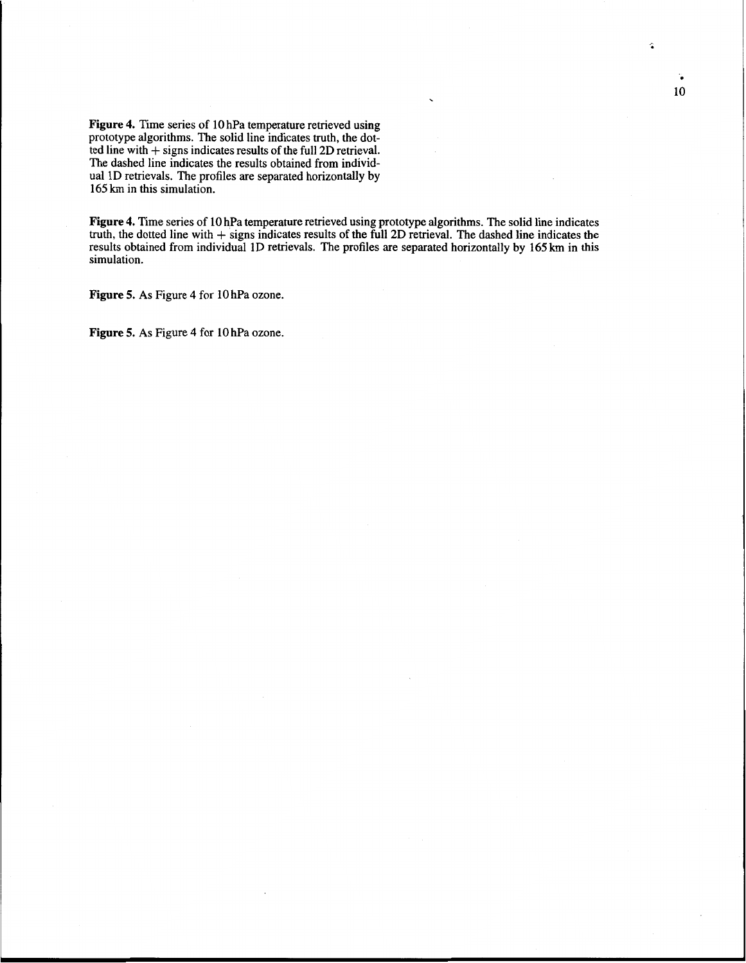**[Figure 4.](#page-11-0)** Time series of **10** hPa temperature retrieved using prototype algorithms. The solid line indicates truth, the dotted line with  $+$  signs indicates results of the full 2D retrieval. The dashed line indicates the results obtained from individual 1D retrievals. The profiles are separated horizontally by 165 **km** in this simulation.

**[Figure 4.](#page-11-0)** Time series of 10 hPa temperature retrieved using prototype algorithms. The solid line indicates truth, the dotted line with + signs indicates results of the full 2D retrieval. The dashed line indicates the results obtained from individual 1D retrievals. The profiles are separated horizontally by 165 **km** in this simulation.

**[Figure](#page-11-0) 5. As** [Figure](#page-11-0) **4** for 10 hPa ozone.

**[Figure](#page-11-0) 5. As** [Figure](#page-11-0) **4** for 10 hPa ozone.

k.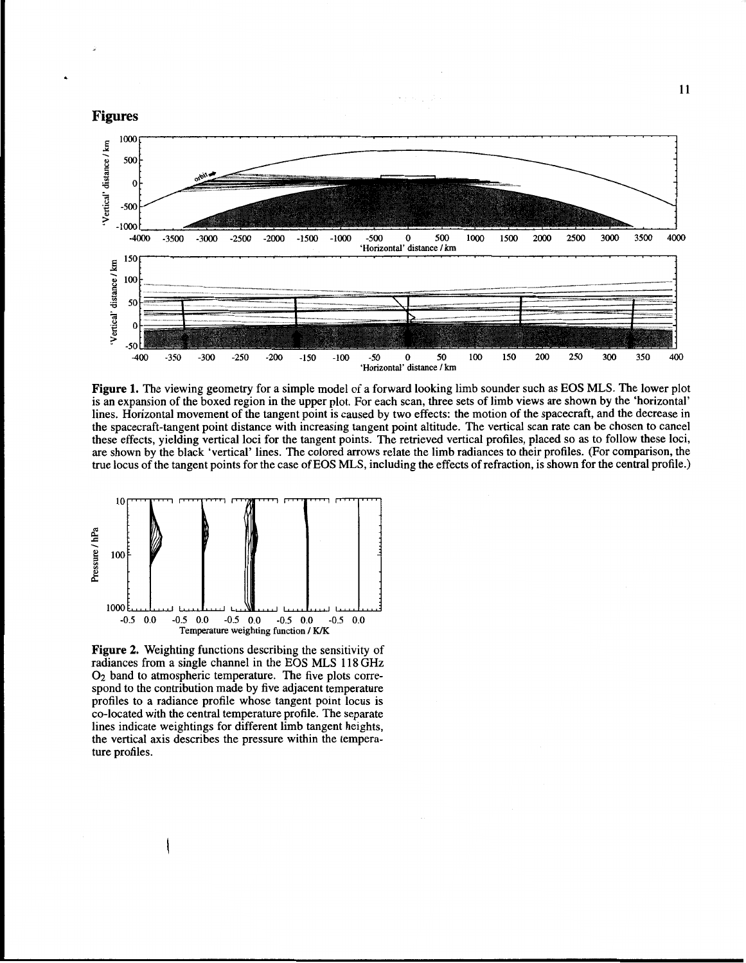<span id="page-10-0"></span>

**11** 

**Figure 1.** The viewing geometry for a simple model of a forward looking limb sounder such as **EOS** MLS. The lower plot is an expansion of the boxed region in the upper plot. For each scan, three sets of limb views are shown by the 'horizontal' lines. Horizontal movement of the tangent point is caused by two effects: the motion of the spacecraft, and the decrease in the spacecraft-tangent point distance with increasing tangent point altitude. The vertical scan rate can be chosen to cancel these effects, yielding vertical loci for the tangent points. The retrieved vertical profiles, placed so as to follow these loci, are shown by the black 'vertical' lines. The colored arrows relate the limb radiances to their profiles. (For comparison, the true locus of the tangent points for the case of **EOS** MLS, including the effects of refraction, is shown for the central profile.)



**Figure 2.** Weighting functions describing the sensitivity of radiances from a single channel in the **EOS** MLS **11 8** GHz 02 band to atmospheric temperature. The five plots correspond to the contribution made by five adjacent temperature profiles to a radiance profile whose tangent point locus is co-located with the central temperature profile. The separate lines indicate weightings for different limb tangent heights, the vertical axis describes the pressure within the temperature profiles.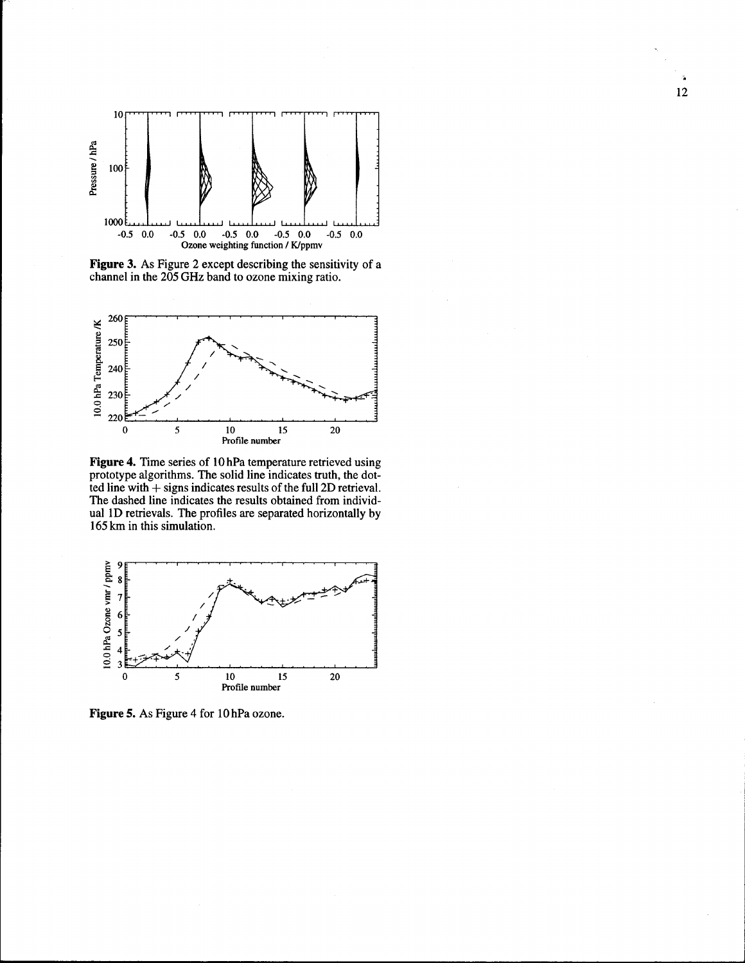<span id="page-11-0"></span>

**Figure 3. As** [Figure 2](#page-10-0) except describing the sensitivity of a channel in the 205 GHz band to ozone mixing ratio.



**Figure 4.** Time series of 10 hPa temperature retrieved using prototype algorithms. The solid line indicates truth, the dotted line with + signs indicates results of the full 2D retrieval. The dashed line indicates the results obtained from individual 1D retrievals. The profiles are separated horizontally by 165 km in this simulation.



**Figure 5. As** Figure **4** for **10** hPa ozone.